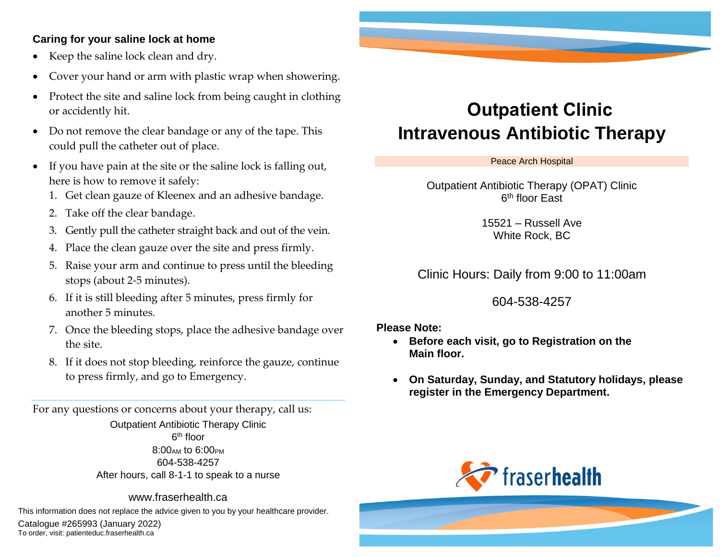### **Caring for your saline lock at home**

- Keep the saline lock clean and dry.
- Cover your hand or arm with plastic wrap when showering.
- Protect the site and saline lock from being caught in clothing or accidently hit.
- Do not remove the clear bandage or any of the tape. This could pull the catheter out of place.
- If you have pain at the site or the saline lock is falling out, here is how to remove it safely:
	- 1. Get clean gauze of Kleenex and an adhesive bandage.
	- 2. Take off the clear bandage.
	- 3. Gently pull the catheter straight back and out of the vein.
	- 4. Place the clean gauze over the site and press firmly.
	- 5. Raise your arm and continue to press until the bleeding stops (about 2-5 minutes).
	- 6. If it is still bleeding after 5 minutes, press firmly for another 5 minutes.
	- 7. Once the bleeding stops, place the adhesive bandage over the site.
	- 8. If it does not stop bleeding, reinforce the gauze, continue to press firmly, and go to Emergency.

For any questions or concerns about your therapy, call us: Outpatient Antibiotic Therapy Clinic 6<sup>th</sup> floor  $8:00_{AM}$  to  $6:00_{PM}$ 604-538-4257 After hours, call 8-1-1 to speak to a nurse

www.fraserhealth.ca

This information does not replace the advice given to you by your healthcare provider.

Catalogue #265993 (January 2022) To order, visit: patienteduc.fraserhealth.ca

# **Outpatient Clinic Intravenous Antibiotic Therapy**

Peace Arch Hospital

Outpatient Antibiotic Therapy (OPAT) Clinic 6<sup>th</sup> floor East

> 15521 – Russell Ave White Rock, BC

Clinic Hours: Daily from 9:00 to 11:00am

604-538-4257

#### **Please Note:**

- **Before each visit, go to Registration on the Main floor.**
- **On Saturday, Sunday, and Statutory holidays, please register in the Emergency Department.**